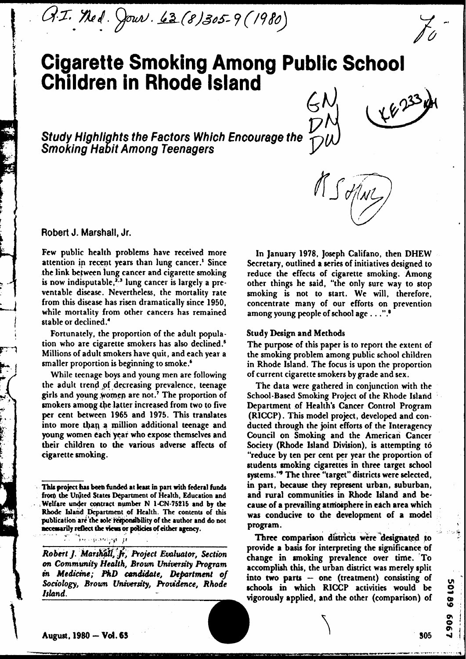G.I. Ned. Jour. 63 (8) 305-9 (1980)

# **Cigarette Smoking Among Public School Children in Rhode Island**

Study Highlights the Factors Which Encourage the **Smoking Ha f it Among Teenagers** 



 $\bigvee$ 

**Robert J. Marshall, Jr.** 

Few public health problems have received more In January 1978, Joseph Califano, then DHEW<br>attention in recent years than lung cancer.<sup>1</sup> Since Secretary, outlined a series of initiatives designed to attention **ip** recent years than lung cancer.' Since Secretary, outlined a **series** of initiatives designed to is now indisputable,<sup>2,3</sup> lung cancer is largely a pre-<br>ventable disease. Nevertheless, the mortality rate smoking is not to start. We will therefore ventable disease. Nevertheless, the mortality rate smoking is not to start. We will, therefore, from this disease has risen dramatically since 1950. Concentrate many of our efforts on prevention while mortality from other cancers has remained stable or declined.'

Fortunately, the proportion of the adult popula- Study **Design** and Methods tion who are cigarette smokers has also declined.<sup>5</sup> The purpose of this paper is to report the extent of Millions of adult smokers have quit, and each year a the smoking problem among public school children

While teenage boys and young men are following of current cigarette smokers by grade and sex. the adult trend of decreasing prevalence, teenage The data were gathered in conjunction with the girls and young women are not.<sup>7</sup> The proportion of School-Based Smoking Project of the Rhode Island girls and young women are not.' The proportion of School-Based Smoking Project of the Rhode Island<br>smokers among the latter increased from two to five Department of Health's Cancer Control Program smokers among the latter increased from two to five Department of Health's Cancer Control Program<br>per cent between 1965 and 1975. This translates (RICCP). This model project, developed and conper cent between 1965 and 1975. This translates (RICCP). This model project, developed and con-<br>into more than a million additional teenage and ducted through the joint efforts of the Interagency into more than a million additional teenage and ducted through the joint efforts of the Interagency<br>young women each year who expose themselves and Council on Smoking and the American Cancer young women each year who expose themselves and Council on Smoking and the American Cancer<br>their children to the various adverse affects of Society (Rhode Island Division), is attempting to

provide a basis for interpreting the significance of *Robert J. Marshall, Jr., Project Evaluator, Section*<br> *Program* community *Health, Brown University Program*<br>
accomplish this, the urban district was merely split in Medicine; PhD candidate, Department of into two parts – one (treatment) consisting of<br>Sociology, Brown University, Providence, Rhode schools in which RICCP activities would be<br>Island.

reduce the effects of cigarette smoking. Among concentrate many of our efforts on prevention among young people of school age . . . ".<sup>8</sup>

Millions of adult smokers have quit, and each year a the smoking problem among public school children<br>smaller proportion is beginning to smoke.<sup>6</sup> in Rhode Island. The focus is upon the proportion in Rhode Island. The focus is upon the proportion

Society (Rhode Island Division), is attempting to cigarette smoking. "reduce by ten per cent per year the proportion of students smoking cigarettes in three target school systems.'" The three "target" districts were selected, This project has been funded at least in part with federal funds in part, because they represent urban, suburban, from the United States Department of Health, Education and and rural communities in Rhode Island and be-

> Three comparison districts were designated to provide a basis for interpreting the significance of vigorously applied, and the other (comparison) of

50189 696

from the Unjted States Department of Health, Education and **and rural communities in Rhode Island and be-**<br>Welfare under contract number N 1-CN-75215 and by the cause of a prevailing atmosphere in each area which Welfare under contract number N 1-CN-75215 and by the cause of a prevailing atmosphere in each area which<br>
Rhode Island Department of Health. The contents of this was conducive to the development of a model<br>
publication a **oecessarily reflect the views or policies of either agency.**<br>**P'086 r**<sup>2</sup>*y r*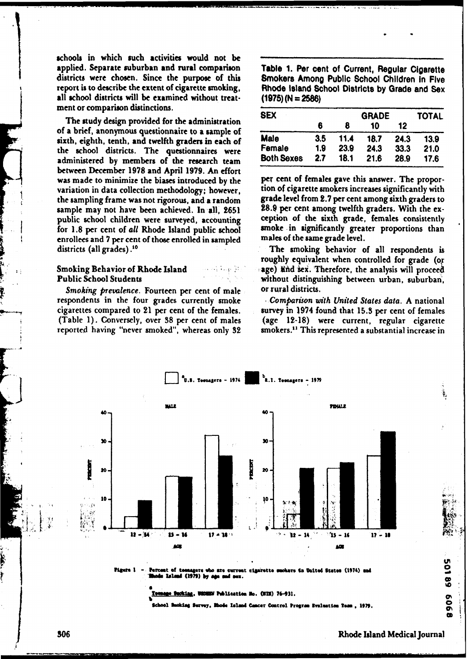schools in which such activities would not be applied. Separate suburban and rural comparison **Table 1. Per cent of Current, Regular Cigarette** districts were chosen. Since the purpose of this **Smokers Among Public School Children in Five** report is to describe the extent of cigarette smoking, **Rhode Island School Districts by Grade and Sex**  all school districts will be examined without treat-  $(1975)(N = 2586)$ ment or comparison distinctions.

The study design provided for the administration of a brief, anonymous questionnaire to a sample of sixth, eighth, tenth, and twelfth graders in each of the school districts. The questionnaires were administered by members of the research team between December **1978** and April **1979.** An effort **was** made to minimize the biases introduced by the variation in data collection methodology; however, the sampling frame was not rigorous, and a random sample may not have been achieved. In all, 2651 public school children were surveyed, accounting for **1.8** per cent of *all* Rhode Island public school enrollees and 7 per cent of those enrolled in sampled districts (all grades) **.I0** 

## **Smoking Behavior of Rhode Island** Public School Students

Smoking prevalence. Fourteen per cent of male respondents in the four grades currently smoke cigarettes compared to 21 per cent of the females. (Table 1). Conversely, over 38 per cent of males reported having "never smoked", whereas only **32** 

**Smokers Among Public School Children in Five** 

| <b>SEX</b>        |     | <b>TOTAL</b> |      |      |      |
|-------------------|-----|--------------|------|------|------|
|                   | 6   | 8            | 10   | 12   |      |
| <b>Male</b>       | 3.5 | 11.4         | 18.7 | 24.3 | 13.9 |
| Female            | 1.9 | 23.9         | 24.3 | 33.3 | 21.0 |
| <b>Both Sexes</b> | 2.7 | 18.1         | 21.6 | 28.9 | 17.6 |

**per** cent of females gave this answer. The proportion **of** cigarette smokers increases significantly with **grade** level from **e.7** per cent among sixth graders to 28.9 per cent among twelfth graders. With the exception of the sixth grade, females consistently smoke in significantly greater proportions than males of the same grade level.

The smoking behavior of all respondents is roughly equivalent when controlled for grade (o age) lind sex. Therefore, the analysis will proceed without distinguishing between urban, suburban, or rural districts.

*I Comparison with United States data. A* national survey in 1974 found that **15.3** per cent of females (age **12-18)** were current, regular cigarette smokers.<sup>11</sup> This represented a substantial increase in



in United States (1974) and (1979) d ass.

**MONEM Publication No. (NIN) 76-931.** 

ode Island Cancer Control Program Bysluation Team. 1979.

909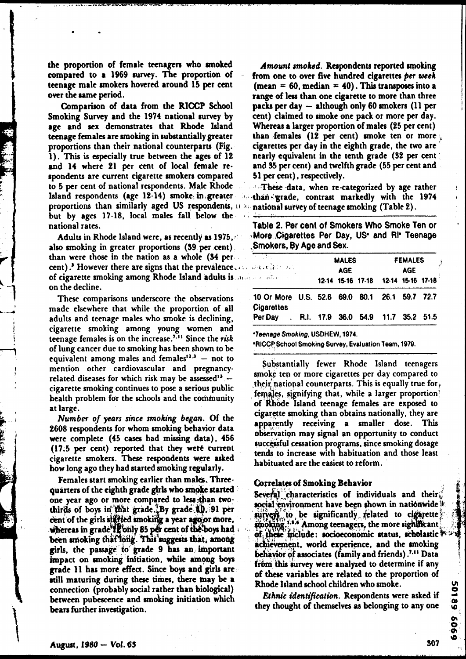the proportion of female teenagers who smoked compared to a 1969 *muvey.* The proportion of teenage male smokers hovered around 15 per cent over the same period.

Comparison of data from the RICCP School Smoking Survey and the 1974 national survey by age and sex demonstrates that Rhode Island **teenage** females are smoking in substantially greater proportions than their national counterparts (Fig. 1). **Thii** is especially true between the ages of 12 and 14 where **21** per cent of local female respondents are current cigarette smokers compared to 5 per cent of national respondents. Male Rhode lsland respondents (age 12- 14) smoke.. in, greater **<sup>t</sup>** proportions than similarly aged US respondents, it all but by ages 17-18, local males fall below the national rates.

Adults in Rhode Island were, as recently as 1975,  $\leq$ also smoking in greater proportions (39 per cent). than were those in the nation as a whole (34 per cent).<sup>3</sup> However there are signs that the prevalence. of cigarette smoking among Rhode Island adults is **'it** . on the decline.

These comparisons underscore the observations made elsewhere that while the proportion of all adults and teenage males who smoke is declining, cigarette smoking among young women and teenage females is on the increase.<sup>7.11</sup> Since the risk of lung cancer due to smoking has been shown to be equivalent among males and females<sup>12.3</sup> - not to mention other cardiovascular and pregnancyrelated diseases for which risk may be assessed<sup>13</sup> cigarette smoking continues to pose a serious public health problem for the schools and the community at large.

**Number** of years **since** *smoking* began. Of the **2608** respondents for whom smoking behavior data were complete (45 cases had missing data), 456 (17.5 per cent) reported that they wete current cigarette smokers. These respondents were asked how long ago they had started smoking regularly.

Females start smoking earlier than males. Threequarters of the eighth grade girls who smoke started one year ago or more compared to less than twothirds of boys in that grade.<sup>5</sup>By grade.10.91 per cent of the girls stated smoking a year ago or more,  $\mathbf{whereas}$  in grade  $\mathbf{H}$  only 85 per cent of the boys had been smoking that long. This suggests that, among girls, the **passage'** 40' \$mde 9 has **an** hnportant **impact** on moking'idtiatiod, **while among boyo**  grade 11 bas more effect. Since **boys** and girls ere still maturing during these times, there may be a connection (probably social rather than biological) between pubescence and smoking initiation which **bean** further investigation.

**Amount** smoked. Rerpondenu **reported** anoking from one to over five hundred cigarettes per week  $(mean = 60, median = 40)$ . This transposes into a range of less than one cigarette to more than three **packs** per **day** - although only 60 smokers (1 1 per **ccnt)** claimed to smoke one pack or more per day. Whereas a larger proportion of males (25 per cent) than females (12 per cent) smoke ten or more , cigarettes per day in the eighth grade, the two are ' nearly equivalent in the tenth grade (32 per cent ' and 95 per cent) and twelfth grade (55 per cent and 51 per cent), respectively.

**These data, when re-categorized by age rather** than<sup>z</sup>grade, contrast markedly with the 1974 national survey of teenage smoking (Table 2).

**Table 2. Per cent of Smokers Who Smoke Ten or .More,,Cigarettes Per Day, US. and RIb Teenage .Smokers, \$y Age and Sex.** 

| <u>लकार</u><br>UNDER BERT BEL                                      | <b>MALES</b><br>AGE. |  |                                     | <b>FEMALES</b><br><b>AGE</b> |  |  |
|--------------------------------------------------------------------|----------------------|--|-------------------------------------|------------------------------|--|--|
| أأرب المتكف وين                                                    |                      |  | 12-14 15-16 17-18 12-14 15-16 17-18 |                              |  |  |
| 10 Or More U.S. 52.6 69.0 80.1 26.1 59.7 72.7<br><b>Cigarettes</b> |                      |  |                                     |                              |  |  |
| Per Day . R.I. 17.9 36.0 54.9 11.7 35.2 51.5                       |                      |  |                                     |                              |  |  |

**'Teenage Smoking, USDHEW, 1974.** 

 $*$ **RICCP School Smoking Survey, Evaluation Team, 1979.** 

Substantially fewer Rhode Island teenagers smoke ten or more cigarettes per day compared to their national counterparts. This is equally true for, females, signifying that, while a larger proportion' of Rhode Island teenage females are exposed to cigarette smoking than obtains nationally, they are apparently receiving a smaller dose. This observation may signal an opportunity to conduct successful cessation programs, since smoking dosage **tends** to increase with habituation and those least habituated are the easiest to reform.

Correlates of Smoking Behavior<br>Several characteristics of individuals and their social environment have been shown in nationwide  $*$ surveys to be significantly related to cigarette amoking.<sup>1.3.6</sup> Among teenagers, the more significant.<br>of these include: socioeconomic status, scholastic achievement, world experience, and the smoking behavior of associates (family and friends).<sup>7.11</sup> Data from this survey were analyzed to determine if any of these variables are related to the proportion of Rhode Island school children who smoke.

**Ethnic identification. Respondents were asked if** they thought of themselves as belonging to any one

ø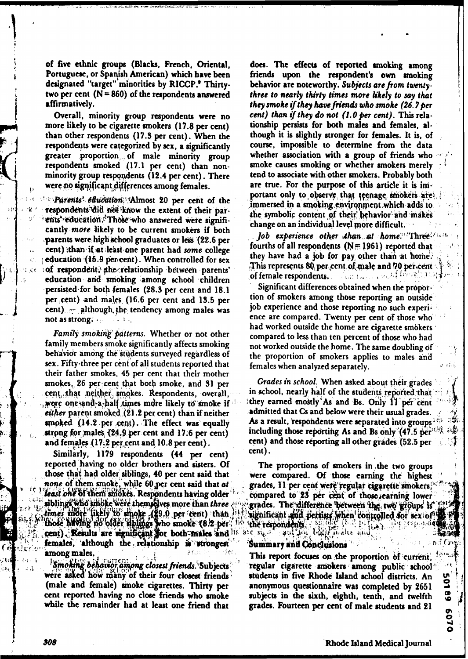of five ethnic groups (Blacks, French, Oriental, Portuguese, or Spanish American) which have been designated "target" minorities by RICCP.' Thirtytwo per cent  $(N = 860)$  of the respondents answered affirmatively.

Overall, minority group respondents were no more likely to be cigarette smokers (17.8 per cent) than other respondents (17.3 per cent). When the respondents were categorized by sex, a significantly greater proportion of male minority group respondents smoked (17.1 per cent) than nonminority group respondents (12.4 per cent). There were no significant differences among females.

" Parents' education: Almost 20 per cent of the respondents did not know the extent of their parents' education. Those who answered were significantly more likely to be current smokers if both parents were high school graduates or less (22.6 per cent) than if at least one parent had some college education (15.9 per cent). When controlled for sex of respondent, the relationship between parents' education and smoking among school children persisted for both females (28.3 per cent and 18.1) per cent) and males (16.6 per cent and 13.5 per cent)  $\pm$  although the tendency among males was not as strong.

Family smoking patterns. Whether or not other family members smoke significantly affects smoking behavior among the students surveyed regardless of sex. Fifty-three per cent of all students reported that their father smokes, 45 per cent that their mother smokes, 26 per cent that both smoke, and 31 per cent that neither smokes. Respondents, overall, wore one-and-a-half times more likely to smoke if either parent smoked (21.2 per cent) than if neither smoked  $(14.2 \text{ per cent})$ . The effect was equally strong for males (24.9 per cent and 17.6 per cent) and females (17.2 per cent and 10.8 per cent).

Similarly, 1179 respondents (44 per cent) reported having no older brothers and sisters. Of those that had older siblings, 40 per cent said that none of them smoke, while 60 per cent said that at least one of them smokes. Respondents having older siblings who smoke were themselves more than three times more likely to smoke (§9.0 per cent) than like<br>those having no older aplings who smoke (8.2 per 110 cent). Results are significant for both males and its females, although the relationship is strongest among males,

Smoking behavior among closest friends. Subjects were asked how many of their four closest friends (male and female) smoke cigarettes. Thirty per cent reported having no close friends who smoke while the remainder had at least one friend that

does. The effects of reported smoking among friends upon the respondent's own smoking behavior are noteworthy. Subjects are from twentythree to nearly thirty times more likely to say that they smoke if they have friends who smoke (26.7 per cent) than if they do not  $(1.0$  per cent). This relationship persists for both males and females, although it is slightly stronger for females. It is, of course, impossible to determine from the data whether association with a group of friends who smoke causes smoking or whether smokers merely tend to associate with other smokers. Probably both are true. For the purpose of this article it is important only to observe that teenage smokers are. immersed in a smoking environment which adds to the symbolic content of their behavior and makes change on an individual level more difficult.

Job experience other than at home. Three fourths of all respondents ( $N = 1961$ ) reported that they have had a job for pay other than at home. This represents 80 per cent of male and 70 per cent. ina neka a skolif ferrejoj p of female respondents.

Significant differences obtained when the proportion of smokers among those reporting an outside job experience and those reporting no such experience are compared. Twenty per cent of those who had worked outside the home are cigarette smokers compared to less than ten percent of those who had not worked outside the home. The same doubling of the proportion of smokers applies to males and females when analyzed separately.

Grades in school. When asked about their grades in school, nearly half of the students reported that they earned mostly As and Bs. Only 11 per cent admitted that Cs and below were their usual grades. As a result, respondents were separated into groups<sup>1</sup> including those reporting As and Bs only  $(47.5 \,\mathrm{per})\%$ cent) and those reporting all other grades (52.5 per cent).

- 51

 $\frac{50}{3}$ 

 $\overline{\mathbf{6}}$ 

£09  $\bullet$ 

The proportions of smokers in the two groups were compared. Of those earning the highest grades, 11 per cent were regular cigarette smokers. compared to 25 per cent of those searning lower grades. The difference between the two groups is significant and persists when controlled for sex of the respondents. are  $\mathfrak{sl}_k \circ \mathbb{Z}$  and  $\mathfrak{sl}_k$  let

males and

### Summary and Conclusions

This report focuses on the proportion of current, regular cigarette smokers among public school students in five Rhode Island school districts. An anonymous questionnaire was completed by 2651 subjects in the sixth, eighth, tenth, and twelfth grades. Fourteen per cent of male students and 21

Rhode Island Medical Journal